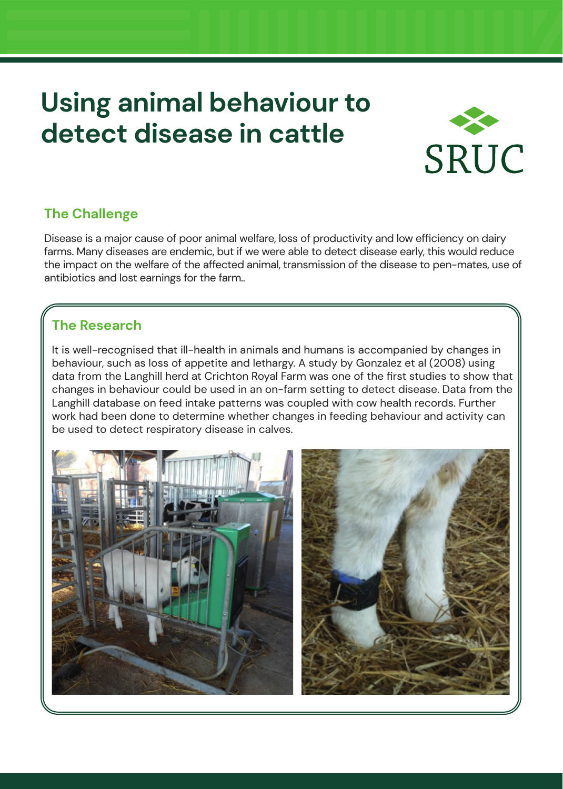# **Using animal behaviour to detect disease in cattle**



# **The Challenge**

Disease is a major cause of poor animal welfare, loss of productivity and low efficiency on dairy farms. Many diseases are endemic, but if we were able to detect disease early, this would reduce the impact on the welfare of the affected animal, transmission of the disease to pen-mates, use of antibiotics and lost earnings for the farm..

## **The Research**

It is well-recognised that ill-health in animals and humans is accompanied by changes in behaviour, such as loss of appetite and lethargy. A study by Gonzalez et al (2008) using data from the Langhill herd at Crichton Royal Farm was one of the first studies to show that changes in behaviour could be used in an on-farm setting to detect disease. Data from the Langhill database on feed intake patterns was coupled with cow health records. Further work had been done to determine whether changes in feeding behaviour and activity can be used to detect respiratory disease in calves.

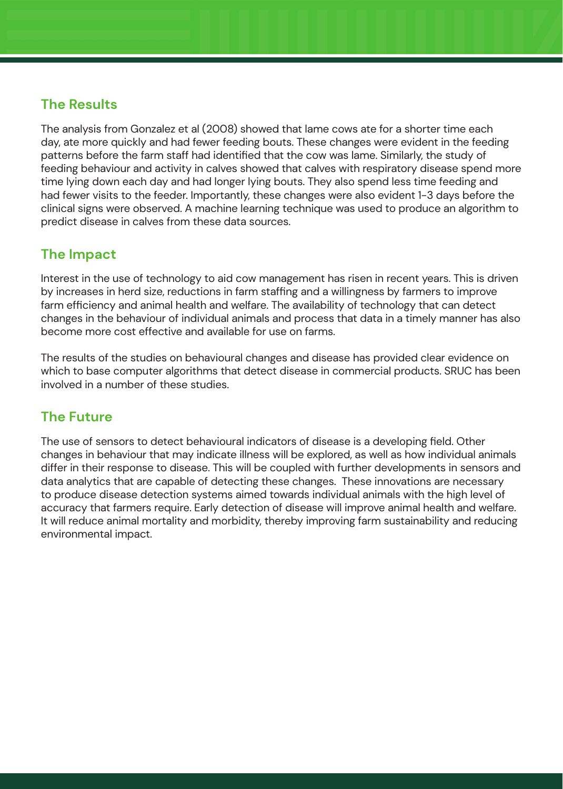#### **The Results**

The analysis from Gonzalez et al (2008) showed that lame cows ate for a shorter time each day, ate more quickly and had fewer feeding bouts. These changes were evident in the feeding patterns before the farm staff had identified that the cow was lame. Similarly, the study of feeding behaviour and activity in calves showed that calves with respiratory disease spend more time lying down each day and had longer lying bouts. They also spend less time feeding and had fewer visits to the feeder. Importantly, these changes were also evident 1-3 days before the clinical signs were observed. A machine learning technique was used to produce an algorithm to predict disease in calves from these data sources.

#### **The Impact**

Interest in the use of technology to aid cow management has risen in recent years. This is driven by increases in herd size, reductions in farm staffing and a willingness by farmers to improve farm efficiency and animal health and welfare. The availability of technology that can detect changes in the behaviour of individual animals and process that data in a timely manner has also become more cost effective and available for use on farms.

The results of the studies on behavioural changes and disease has provided clear evidence on which to base computer algorithms that detect disease in commercial products. SRUC has been involved in a number of these studies.

### **The Future**

The use of sensors to detect behavioural indicators of disease is a developing field. Other changes in behaviour that may indicate illness will be explored, as well as how individual animals differ in their response to disease. This will be coupled with further developments in sensors and data analytics that are capable of detecting these changes. These innovations are necessary to produce disease detection systems aimed towards individual animals with the high level of accuracy that farmers require. Early detection of disease will improve animal health and welfare. It will reduce animal mortality and morbidity, thereby improving farm sustainability and reducing environmental impact.